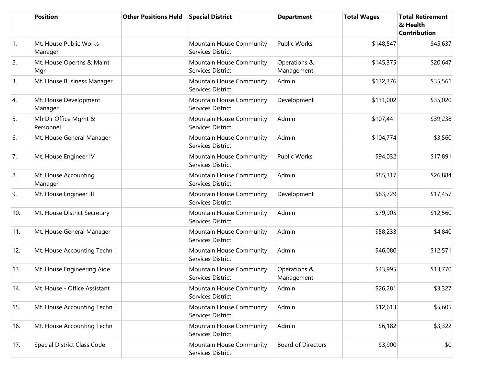|            | <b>Position</b>                   | <b>Other Positions Held</b> | <b>Special District</b>                       | <b>Department</b>          | <b>Total Wages</b> | <b>Total Retirement</b><br>& Health<br><b>Contribution</b> |
|------------|-----------------------------------|-----------------------------|-----------------------------------------------|----------------------------|--------------------|------------------------------------------------------------|
| $\vert$ 1. | Mt. House Public Works<br>Manager |                             | Mountain House Community<br>Services District | <b>Public Works</b>        | \$148,547          | \$45,637                                                   |
| 2.         | Mt. House Opertns & Maint<br>Mgr  |                             | Mountain House Community<br>Services District | Operations &<br>Management | \$145,375          | \$20,647                                                   |
| 3.         | Mt. House Business Manager        |                             | Mountain House Community<br>Services District | Admin                      | \$132,376          | \$35,561                                                   |
| 4.         | Mt. House Development<br>Manager  |                             | Mountain House Community<br>Services District | Development                | \$131,002          | \$35,020                                                   |
| 5.         | Mh Dir Office Mgmt &<br>Personnel |                             | Mountain House Community<br>Services District | Admin                      | \$107,441          | \$39,238                                                   |
| 6.         | Mt. House General Manager         |                             | Mountain House Community<br>Services District | Admin                      | \$104,774          | \$3,560                                                    |
| 7.         | Mt. House Engineer IV             |                             | Mountain House Community<br>Services District | <b>Public Works</b>        | \$94,032           | \$17,891                                                   |
| 8.         | Mt. House Accounting<br>Manager   |                             | Mountain House Community<br>Services District | Admin                      | \$85,317           | \$26,884                                                   |
| 9.         | Mt. House Engineer III            |                             | Mountain House Community<br>Services District | Development                | \$83,729           | \$17,457                                                   |
| 10.        | Mt. House District Secretary      |                             | Mountain House Community<br>Services District | Admin                      | \$79,905           | \$12,560                                                   |
| 11.        | Mt. House General Manager         |                             | Mountain House Community<br>Services District | Admin                      | \$58,233           | \$4,840                                                    |
| 12.        | Mt. House Accounting Techn I      |                             | Mountain House Community<br>Services District | Admin                      | \$46,080           | \$12,571                                                   |
| 13.        | Mt. House Engineering Aide        |                             | Mountain House Community<br>Services District | Operations &<br>Management | \$43,995           | \$13,770                                                   |
| 14.        | Mt. House - Office Assistant      |                             | Mountain House Community<br>Services District | Admin                      | \$26,281           | \$3,327                                                    |
| 15.        | Mt. House Accounting Techn I      |                             | Mountain House Community<br>Services District | Admin                      | \$12,613           | \$5,605                                                    |
| 16.        | Mt. House Accounting Techn I      |                             | Mountain House Community<br>Services District | Admin                      | \$6,182            | \$3,322                                                    |
| 17.        | Special District Class Code       |                             | Mountain House Community<br>Services District | <b>Board of Directors</b>  | \$3,900            | \$0                                                        |